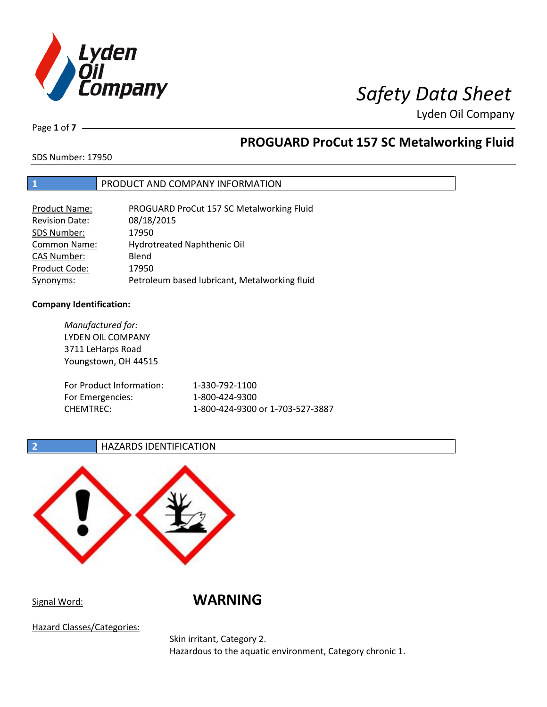

Page **1** of **7**

# **PROGUARD ProCut 157 SC Metalworking Fluid**

SDS Number: 17950

### **1** PRODUCT AND COMPANY INFORMATION

| <b>Product Name:</b>  | PROGUARD ProCut 157 SC Metalworking Fluid     |
|-----------------------|-----------------------------------------------|
| <b>Revision Date:</b> | 08/18/2015                                    |
| SDS Number:           | 17950                                         |
| <b>Common Name:</b>   | Hydrotreated Naphthenic Oil                   |
| <b>CAS Number:</b>    | Blend                                         |
| Product Code:         | 17950                                         |
| Synonyms:             | Petroleum based lubricant, Metalworking fluid |

### **Company Identification:**

*Manufactured for:* LYDEN OIL COMPANY 3711 LeHarps Road Youngstown, OH 44515 For Product Information: 1-330-792-1100 For Emergencies: 1-800-424-9300 CHEMTREC: 1-800-424-9300 or 1-703-527-3887

### **2 HAZARDS IDENTIFICATION**



Signal Word: **WARNING**

Hazard Classes/Categories:

Skin irritant, Category 2. Hazardous to the aquatic environment, Category chronic 1.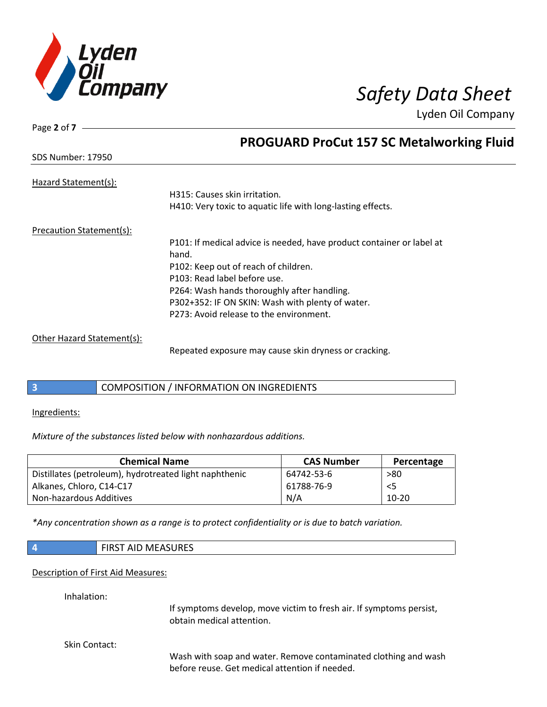

| Page 2 of 7                     |                                                                       |
|---------------------------------|-----------------------------------------------------------------------|
|                                 | <b>PROGUARD ProCut 157 SC Metalworking Fluid</b>                      |
| <b>SDS Number: 17950</b>        |                                                                       |
| Hazard Statement(s):            |                                                                       |
|                                 | H315: Causes skin irritation.                                         |
|                                 | H410: Very toxic to aquatic life with long-lasting effects.           |
| <b>Precaution Statement(s):</b> |                                                                       |
|                                 | P101: If medical advice is needed, have product container or label at |
|                                 | hand.                                                                 |
|                                 | P102: Keep out of reach of children.                                  |
|                                 | P103: Read label before use.                                          |
|                                 | P264: Wash hands thoroughly after handling.                           |
|                                 | P302+352: IF ON SKIN: Wash with plenty of water.                      |
|                                 | P273: Avoid release to the environment.                               |
| Other Hazard Statement(s):      |                                                                       |
|                                 | Repeated exposure may cause skin dryness or cracking.                 |

### **3** COMPOSITION / INFORMATION ON INGREDIENTS

Ingredients:

*Mixture of the substances listed below with nonhazardous additions.*

| <b>Chemical Name</b>                                   | <b>CAS Number</b> | Percentage |
|--------------------------------------------------------|-------------------|------------|
| Distillates (petroleum), hydrotreated light naphthenic | 64742-53-6        | >80        |
| Alkanes, Chloro, C14-C17                               | 61788-76-9        | $<$ 5      |
| Non-hazardous Additives                                | N/A               | $10-20$    |

*\*Any concentration shown as a range is to protect confidentiality or is due to batch variation.*

| $\vert$ 4 | <b>FIRST AID MEASURES</b> |
|-----------|---------------------------|
|           |                           |

### Description of First Aid Measures:

Inhalation:

If symptoms develop, move victim to fresh air. If symptoms persist, obtain medical attention.

Skin Contact:

Wash with soap and water. Remove contaminated clothing and wash before reuse. Get medical attention if needed.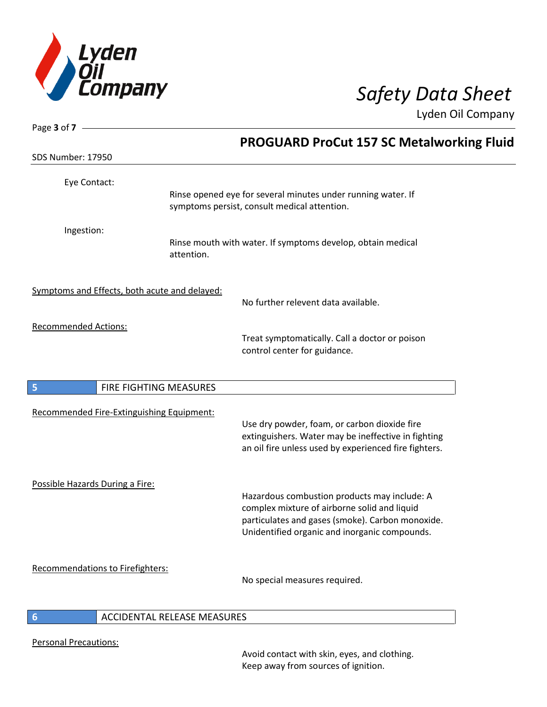

| Page 3 of 7 -                   |                                               |                                                                                                              |
|---------------------------------|-----------------------------------------------|--------------------------------------------------------------------------------------------------------------|
| <b>SDS Number: 17950</b>        |                                               | <b>PROGUARD ProCut 157 SC Metalworking Fluid</b>                                                             |
|                                 |                                               |                                                                                                              |
| Eye Contact:                    |                                               |                                                                                                              |
|                                 |                                               | Rinse opened eye for several minutes under running water. If<br>symptoms persist, consult medical attention. |
| Ingestion:                      |                                               |                                                                                                              |
|                                 | attention.                                    | Rinse mouth with water. If symptoms develop, obtain medical                                                  |
|                                 | Symptoms and Effects, both acute and delayed: |                                                                                                              |
|                                 |                                               | No further relevent data available.                                                                          |
| <b>Recommended Actions:</b>     |                                               |                                                                                                              |
|                                 |                                               | Treat symptomatically. Call a doctor or poison<br>control center for guidance.                               |
|                                 |                                               |                                                                                                              |
| 5                               | FIRE FIGHTING MEASURES                        |                                                                                                              |
|                                 | Recommended Fire-Extinguishing Equipment:     |                                                                                                              |
|                                 |                                               | Use dry powder, foam, or carbon dioxide fire                                                                 |
|                                 |                                               | extinguishers. Water may be ineffective in fighting<br>an oil fire unless used by experienced fire fighters. |
|                                 |                                               |                                                                                                              |
| Possible Hazards During a Fire: |                                               | Hazardous combustion products may include: A                                                                 |
|                                 |                                               | complex mixture of airborne solid and liquid                                                                 |
|                                 |                                               | particulates and gases (smoke). Carbon monoxide.                                                             |
|                                 |                                               | Unidentified organic and inorganic compounds.                                                                |
|                                 | Recommendations to Firefighters:              |                                                                                                              |
|                                 |                                               | No special measures required.                                                                                |
| 6                               | ACCIDENTAL RELEASE MEASURES                   |                                                                                                              |

Personal Precautions:

 $\overline{\phantom{a}}$ 

Avoid contact with skin, eyes, and clothing. Keep away from sources of ignition.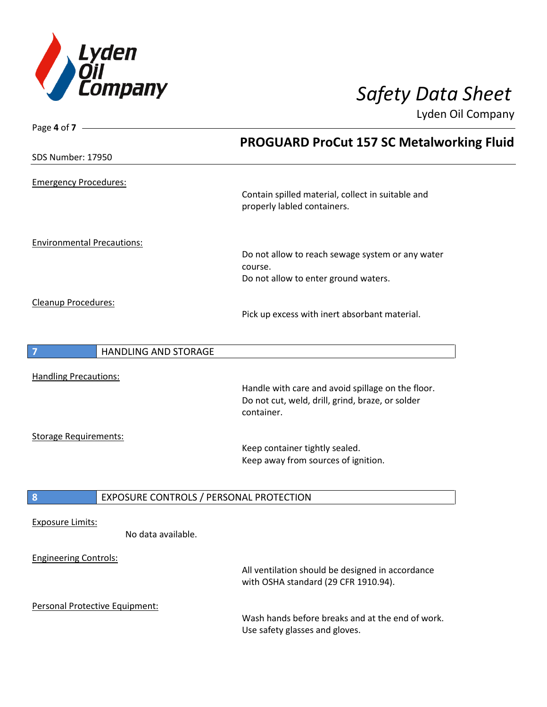

| Page 4 of 7 -                                 |                                                                                          |
|-----------------------------------------------|------------------------------------------------------------------------------------------|
|                                               | <b>PROGUARD ProCut 157 SC Metalworking Fluid</b>                                         |
| <b>SDS Number: 17950</b>                      |                                                                                          |
| <b>Emergency Procedures:</b>                  |                                                                                          |
|                                               | Contain spilled material, collect in suitable and<br>properly labled containers.         |
| <b>Environmental Precautions:</b>             |                                                                                          |
|                                               | Do not allow to reach sewage system or any water<br>course.                              |
|                                               | Do not allow to enter ground waters.                                                     |
| Cleanup Procedures:                           |                                                                                          |
|                                               | Pick up excess with inert absorbant material.                                            |
|                                               |                                                                                          |
| $\overline{7}$<br><b>HANDLING AND STORAGE</b> |                                                                                          |
|                                               |                                                                                          |
| <b>Handling Precautions:</b>                  | Handle with care and avoid spillage on the floor.                                        |
|                                               | Do not cut, weld, drill, grind, braze, or solder                                         |
|                                               | container.                                                                               |
| <b>Storage Requirements:</b>                  |                                                                                          |
|                                               | Keep container tightly sealed.                                                           |
|                                               | Keep away from sources of ignition.                                                      |
|                                               |                                                                                          |
| 8<br>EXPOSURE CONTROLS / PERSONAL PROTECTION  |                                                                                          |
| <b>Exposure Limits:</b>                       |                                                                                          |
| No data available.                            |                                                                                          |
| <b>Engineering Controls:</b>                  |                                                                                          |
|                                               | All ventilation should be designed in accordance<br>with OSHA standard (29 CFR 1910.94). |
| Personal Protective Equipment:                |                                                                                          |
|                                               | Wash hands before breaks and at the end of work.                                         |
|                                               | Use safety glasses and gloves.                                                           |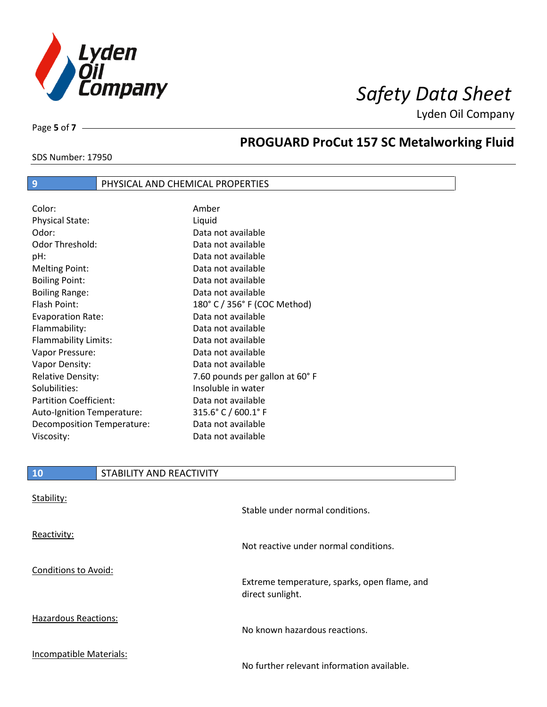

SDS Number: 17950

Page **5** of **7**

# **PROGUARD ProCut 157 SC Metalworking Fluid**

### **9** PHYSICAL AND CHEMICAL PROPERTIES

| Color:                        | Amber                          |
|-------------------------------|--------------------------------|
| <b>Physical State:</b>        | Liquid                         |
| Odor:                         | Data not available             |
| Odor Threshold:               | Data not available             |
| pH:                           | Data not available             |
| <b>Melting Point:</b>         | Data not available             |
| <b>Boiling Point:</b>         | Data not available             |
| <b>Boiling Range:</b>         | Data not available             |
| Flash Point:                  | 180° C / 356° F (COC Method)   |
| <b>Evaporation Rate:</b>      | Data not available             |
| Flammability:                 | Data not available             |
| Flammability Limits:          | Data not available             |
| Vapor Pressure:               | Data not available             |
| Vapor Density:                | Data not available             |
| <b>Relative Density:</b>      | 7.60 pounds per gallon at 60°F |
| Solubilities:                 | Insoluble in water             |
| <b>Partition Coefficient:</b> | Data not available             |
| Auto-Ignition Temperature:    | 315.6° C / 600.1° F            |
| Decomposition Temperature:    | Data not available             |
| Viscosity:                    | Data not available             |

### **10** STABILITY AND REACTIVITY

| Stability:                  | Stable under normal conditions.                                  |
|-----------------------------|------------------------------------------------------------------|
| Reactivity:                 | Not reactive under normal conditions.                            |
| <b>Conditions to Avoid:</b> | Extreme temperature, sparks, open flame, and<br>direct sunlight. |
| Hazardous Reactions:        | No known hazardous reactions.                                    |
| Incompatible Materials:     | No further relevant information available.                       |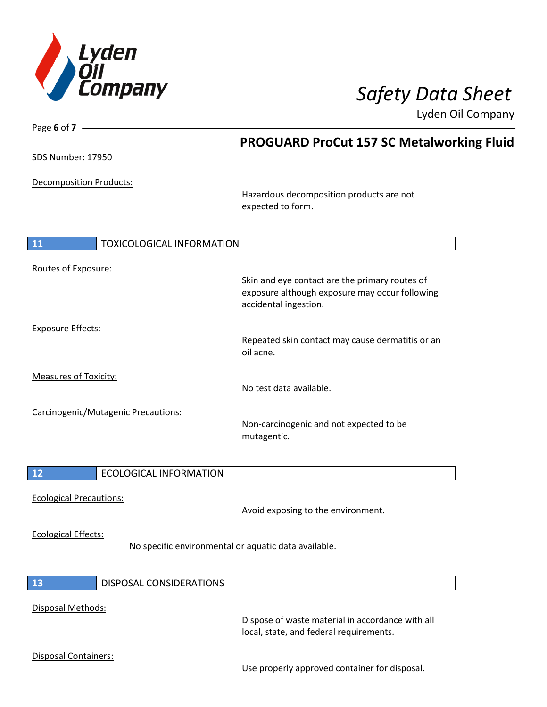

| Page 6 of $7 -$                        |                                                                                                                           |
|----------------------------------------|---------------------------------------------------------------------------------------------------------------------------|
|                                        | <b>PROGUARD ProCut 157 SC Metalworking Fluid</b>                                                                          |
| <b>SDS Number: 17950</b>               |                                                                                                                           |
| Decomposition Products:                | Hazardous decomposition products are not<br>expected to form.                                                             |
|                                        |                                                                                                                           |
|                                        |                                                                                                                           |
| <b>TOXICOLOGICAL INFORMATION</b><br>11 |                                                                                                                           |
|                                        |                                                                                                                           |
| Routes of Exposure:                    |                                                                                                                           |
|                                        | Skin and eye contact are the primary routes of<br>exposure although exposure may occur following<br>accidental ingestion. |
| <b>Exposure Effects:</b>               |                                                                                                                           |
|                                        | Repeated skin contact may cause dermatitis or an<br>oil acne.                                                             |
| <b>Measures of Toxicity:</b>           |                                                                                                                           |
|                                        | No test data available.                                                                                                   |
|                                        |                                                                                                                           |
| Carcinogenic/Mutagenic Precautions:    | Non-carcinogenic and not expected to be<br>mutagentic.                                                                    |
| $12$<br><b>ECOLOGICAL INFORMATION</b>  |                                                                                                                           |
|                                        |                                                                                                                           |
| <b>Ecological Precautions:</b>         |                                                                                                                           |
|                                        | Avoid exposing to the environment.                                                                                        |
|                                        |                                                                                                                           |
| <b>Ecological Effects:</b>             |                                                                                                                           |
|                                        | No specific environmental or aquatic data available.                                                                      |
|                                        |                                                                                                                           |
| <b>13</b><br>DISPOSAL CONSIDERATIONS   |                                                                                                                           |
|                                        |                                                                                                                           |
| Disposal Methods:                      |                                                                                                                           |
|                                        | Dispose of waste material in accordance with all<br>local, state, and federal requirements.                               |
| Disposal Containers:                   |                                                                                                                           |
|                                        | Use properly approved container for disposal.                                                                             |